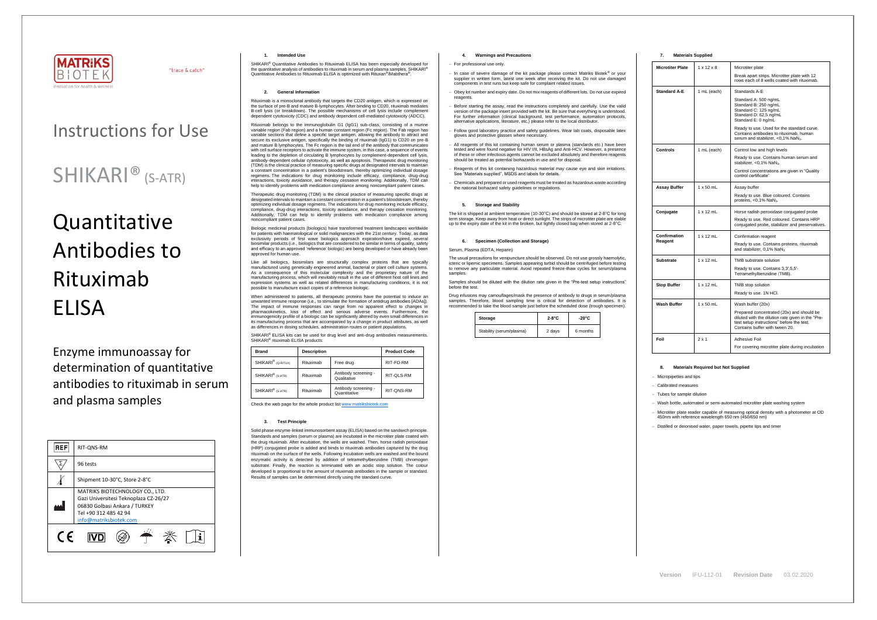

"trace & catch"

## Instructions for Use

### SHIKARI® (S-ATR)

# Quantitative Antibodies to Rituximab ELISA

Enzyme immunoassay for determination of quantitative antibodies to rituximab in serum and plasma samples

SHIKARI® Quantitative Antibodies to Rituximab ELISA has been especially developed for the quantitative analysis of antibodies to rituximab in serum and plasma samples. SHIKARI® Quantitative Antibodies to Rituximab ELISA is optimized with Rituxan<sup>®</sup>/Mabthera<sup>®</sup>.

| <b>REF</b> | RIT-QNS-RM                                                                                                                                                   |
|------------|--------------------------------------------------------------------------------------------------------------------------------------------------------------|
|            | 96 tests                                                                                                                                                     |
|            | Shipment 10-30°C, Store 2-8°C                                                                                                                                |
|            | MATRIKS BIOTECHNOLOGY CO., LTD.<br>Gazi Universitesi Teknoplaza CZ-26/27<br>06830 Golbasi Ankara / TURKEY<br>Tel +90 312 485 42 94<br>info@matriksbiotek.com |
| $\epsilon$ |                                                                                                                                                              |

#### **1. Intended Use**

#### **2. General Information**

Rituximab is a monoclonal antibody that targets the CD20 antigen, which is expressed on the surface of pre-B and mature B-lymphocytes. After binding to CD20, rituximab mediates B-cell lysis (or breakdown). The possible mechanisms of cell lysis include complement dependent cytotoxicity (CDC) and antibody dependent cell-mediated cytotoxicity (ADCC).

Biologic medicinal products (biologics) have transformed treatment landscapes worldwide for patients with haematological or solid malignancies with the 21st century. Today, as data exclusivity periods of first wave biologics approach expiration/have expired, several biosimilar products (i.e., biologics that are considered to be similar in terms of quality, safety and efficacy to an approved 'reference' biologic) are being developed or have already been approved for human use.

Rituximab belongs to the immunoglobulin G1 (IgG1) sub-class, consisting of a murine variable region (Fab region) and a human constant region (Fc region). The Fab region has variable sections that define a specific target antigen, allowing the antibody to attract and secure its exclusive antigen, specifically the binding of rituximab (IgG1) to CD20 on pre-B and mature B lymphocytes. The Fc region is the tail end of the antibody that communicates with cell surface receptors to activate the immune system, in this case, a sequence of events leading to the depletion of circulating B lymphocytes by complement-dependent cell lysis, antibody-dependent cellular cytotoxicity, as well as apoptosis. Therapeutic drug monitoring (TDM) is the clinical practice of measuring specific drugs at designated intervals to maintain a constant concentration in a patient's bloodstream, thereby optimizing individual dosage regimens. The indications for drug monitoring include efficacy, compliance, drug-drug interactions, toxicity avoidance, and therapy cessation monitoring. Additionally, TDM can help to identify problems with medication compliance among noncompliant patient cases.

When administered to patients, all therapeutic proteins have the potential to induce an unwanted immune response (i.e., to stimulate the formation of antidrug antibodies [ADAs]). The impact of immune responses can range from no apparent effect to changes in pharmacokinetics, loss of effect and serious adverse events. Furthermore, the immunogenicity profile of a biologic can be significantly altered by even small differences in its manufacturing process that are accompanied by a change in product attributes, as well as differences in dosing schedules, administration routes or patient populations.

SHIKARI<sup>®</sup> ELISA kits can be used for drug level and anti-drug antibodies measurements. SHIKARI<sup>®</sup> rituximab ELISA products:

Therapeutic drug monitoring (TDM) is the clinical practice of measuring specific drugs at designated intervals to maintain a constant concentration in a patient's bloodstream, thereby optimizing individual dosage regimens. The indications for drug monitoring include efficacy, compliance, drug-drug interactions, toxicity avoidance, and therapy cessation monitoring. Additionally, TDM can help to identify problems with medication compliance among noncompliant patient cases.

Like all biologics, biosimilars are structurally complex proteins that are typically manufactured using genetically engineered animal, bacterial or plant cell culture systems. As a consequence of this molecular complexity and the proprietary nature of the manufacturing process, which will inevitably result in the use of different host cell lines and expression systems as well as related differences in manufacturing conditions, it is not possible to manufacture exact copies of a reference biologic.

The usual precautions for venipuncture should be observed. Do not use grossly haemolytic, icteric or lipemic specimens. Samples appearing turbid should be centrifuged before testing to remove any particulate material. Avoid repeated freeze-thaw cycles for serum/plasma samples

| <b>Brand</b>                   | <b>Description</b> |                                      | <b>Product Code</b> |
|--------------------------------|--------------------|--------------------------------------|---------------------|
| SHIKARI <sup>®</sup> (Q-RITUX) | Rituximab          | Free drug                            | RIT-FD-RM           |
| SHIKARI <sup>®</sup> (S-ATR)   | Rituximab          | Antibody screening -<br>Qualitative  | RIT-QLS-RM          |
| SHIKARI <sup>®</sup> (S-ATR)   | Rituximab          | Antibody screening -<br>Quantitative | RIT-QNS-RM          |

Check the web page for the whole product lis[t www.matriksbiotek.com](http://www.matriksbiotek.com/)

#### **3. Test Principle**

Solid phase enzyme-linked immunosorbent assay (ELISA) based on the sandwich principle. Standards and samples (serum or plasma) are incubated in the microtiter plate coated with the drug rituximab. After incubation, the wells are washed. Then, horse radish peroxidase (HRP) conjugated probe is added and binds to rituximab antibodies captured by the drug rituximab on the surface of the wells. Following incubation wells are washed and the bound enzymatic activity is detected by addition of tetramethylbenzidine (TMB) chromogen substrate. Finally, the reaction is terminated with an acidic stop solution. The colour developed is proportional to the amount of rituximab antibodies in the sample or standard. Results of samples can be determined directly using the standard curve.

#### **4. Warnings and Precautions**

#### − For professional use only.

- − In case of severe damage of the kit package please contact Matriks Biotek® or your supplier in written form, latest one week after receiving the kit. Do not use damaged components in test runs but keep safe for complaint related issues.
- Obey lot number and expiry date. Do not mix reagents of different lots. Do not use expired reagents
- Before starting the assay, read the instructions completely and carefully. Use the valid version of the package insert provided with the kit. Be sure that everything is understood. For further information (clinical background, test performance, automation protocols, alternative applications, literature, etc.) please refer to the local distributor.
- − Follow good laboratory practice and safety guidelines. Wear lab coats, disposable latex gloves and protective glasses where necessary.
- All reagents of this kit containing human serum or plasma (standards etc.) have been tested and were found negative for HIV I/II, HBsAg and Anti-HCV. However, a presence of these or other infectious agents cannot be excluded absolutely and therefore reagents should be treated as potential biohazards in use and for disposal.
- − Reagents of this kit containing hazardous material may cause eye and skin irritations. See "Materials supplied", MSDS and labels for details.
- − Chemicals and prepared or used reagents must be treated as hazardous waste according the national biohazard safety guidelines or regulations.

### **5. Storage and Stability**

The kit is shipped at ambient temperature (10-30°C) and should be stored at 2-8°C for long m storage. Keep away from heat or direct sunlight. The strips of microtiter plate are stable up to the expiry date of the kit in the broken, but tightly closed bag when stored at 2-8°C.

#### **6. Specimen (Collection and Storage)**

#### Serum, Plasma (EDTA, Heparin)

Samples should be diluted with the dilution rate given in the "Pre-test setup instructions" before the test.

Drug infusions may camouflages/mask the presence of antibody to drugs in serum/plasma samples. Therefore, blood sampling time is critical for detection of antibodies. It is recommended to take the blood sample just before the scheduled dose (trough specimen).

| Storage                  | $2-8^{\circ}C$ | $-20^{\circ}$ C |
|--------------------------|----------------|-----------------|
| Stability (serum/plasma) | 2 days         | 6 months        |

| 7. | <b>Materials Supplied</b> |
|----|---------------------------|
|----|---------------------------|

| <b>Microtiter Plate</b> | $1 \times 12 \times 8$ | Microtiter plate<br>Break apart strips. Microtiter plate with 12<br>rows each of 8 wells coated with rituximab.                                                               |  |
|-------------------------|------------------------|-------------------------------------------------------------------------------------------------------------------------------------------------------------------------------|--|
|                         |                        |                                                                                                                                                                               |  |
| <b>Standard A-E</b>     | 1 mL (each)            | Standards A-E                                                                                                                                                                 |  |
|                         |                        | Standard A: 500 ng/mL<br>Standard B: 250 ng/mL<br>Standard C: 125 ng/mL<br>Standard D: 62,5 ng/mL<br>Standard E: 0 ng/mL                                                      |  |
|                         |                        | Ready to use. Used for the standard curve.<br>Contains antibodies to rituximab, human<br>serum and stabilizer, <0,1% NaN <sub>3</sub> .                                       |  |
| Controls                | 1 mL (each)            | Control low and high levels                                                                                                                                                   |  |
|                         |                        | Ready to use. Contains human serum and<br>stabilizer, <0,1% NaN <sub>3</sub> .                                                                                                |  |
|                         |                        | Control concentrations are given in "Quality<br>control certificate"                                                                                                          |  |
| Assay Buffer            | $1 \times 50$ mL       | Assay buffer                                                                                                                                                                  |  |
|                         |                        | Ready to use. Blue coloured. Contains<br>proteins, $<$ 0,1% NaN <sub>3</sub> .                                                                                                |  |
| Conjugate               | $1 \times 12$ mL       | Horse radish peroxidase conjugated probe                                                                                                                                      |  |
|                         |                        | Ready to use. Red coloured. Contains HRP<br>conjugated probe, stabilizer and preservatives.                                                                                   |  |
| Confirmation<br>Reagent | $1 \times 12$ mL       | Confirmation reagent                                                                                                                                                          |  |
|                         |                        | Ready to use. Contains proteins, rituximab<br>and stabilizer, 0,1% NaN <sub>3</sub>                                                                                           |  |
| Substrate               | $1 \times 12$ mL       | TMB substrate solution                                                                                                                                                        |  |
|                         |                        | Ready to use. Contains 3,3',5,5'-<br>Tetramethylbenzidine (TMB).                                                                                                              |  |
| <b>Stop Buffer</b>      | $1 \times 12$ mL       | TMB stop solution                                                                                                                                                             |  |
|                         |                        | Ready to use. 1N HCl.                                                                                                                                                         |  |
| Wash Buffer             | $1 \times 50$ mL       | Wash buffer (20x)                                                                                                                                                             |  |
|                         |                        | Prepared concentrated (20x) and should be<br>diluted with the dilution rate given in the "Pre-<br>test setup instructions" before the test.<br>Contains buffer with tween 20. |  |
| Foil                    | $2 \times 1$           | Adhesive Foil                                                                                                                                                                 |  |
|                         |                        | For covering microtiter plate during incubation                                                                                                                               |  |

#### **8. Materials Required but Not Supplied**

− Micropipettes and tips

− Calibrated measures

− Tubes for sample dilution

− Wash bottle, automated or semi-automated microtiter plate washing system

− Microtiter plate reader capable of measuring optical density with a photometer at OD 450nm with reference wavelength 650 nm (450/650 nm)

− Distilled or deionised water, paper towels, pipette tips and timer